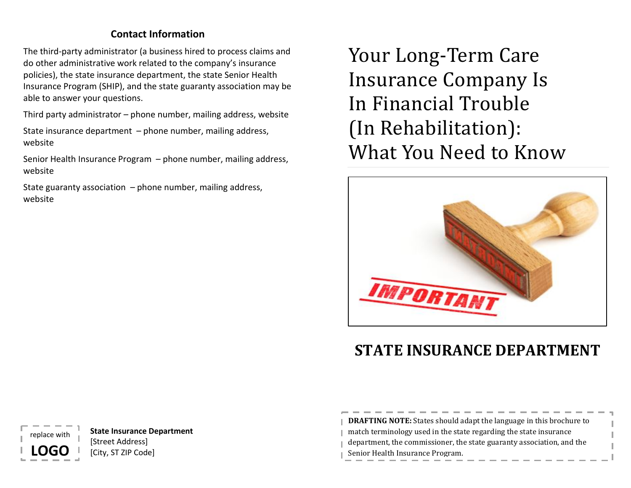# **Contact Information**

The third-party administrator (a business hired to process claims and do other administrative work related to the company's insurance policies), the state insurance department, the state Senior Health Insurance Program (SHIP), and the state guaranty association may be able to answer your questions.

Third party administrator – phone number, mailing address, website

State insurance department – phone number, mailing address, website

Senior Health Insurance Program – phone number, mailing address, website

State guaranty association  $-$  phone number, mailing address, website

Your Long-Term Care Insurance Company Is In Financial Trouble (In Rehabilitation): What You Need to Know



# **STATE INSURANCE DEPARTMENT**

**DRAFTING NOTE:** States should adapt the language in this brochure to match terminology used in the state regarding the state insurance department, the commissioner, the state guaranty association, and the Senior Health Insurance Program.

**State Insurance Department** [Street Address] [City, ST ZIP Code]

eplace wit

**LOGO**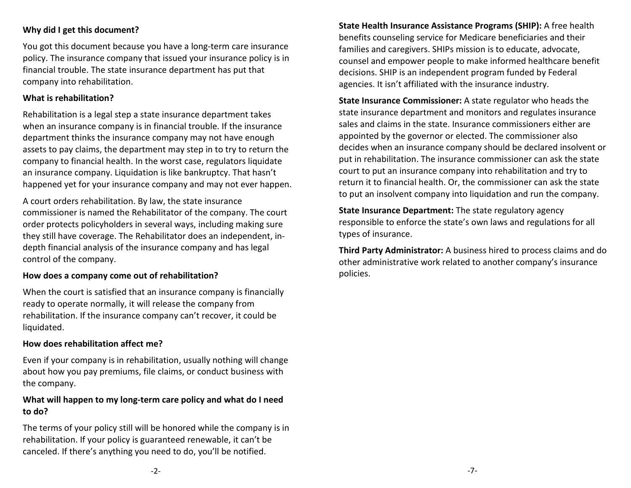### **Why did I get this document?**

You got this document because you have a long-term care insurance policy. The insurance company that issued your insurance policy is in financial trouble. The state insurance department has put that company into rehabilitation.

#### **What is rehabilitation?**

Rehabilitation is a legal step a state insurance department takes when an insurance company is in financial trouble. If the insurance department thinks the insurance company may not have enough assets to pay claims, the department may step in to try to return the company to financial health. In the worst case, regulators liquidate an insurance company. Liquidation is like bankruptcy. That hasn't happened yet for your insurance company and may not ever happen.

A court orders rehabilitation. By law, the state insurance commissioner is named the Rehabilitator of the company. The court order protects policyholders in several ways, including making sure they still have coverage. The Rehabilitator does an independent, indepth financial analysis of the insurance company and has legal control of the company.

#### **How does a company come out of rehabilitation?**

When the court is satisfied that an insurance company is financially ready to operate normally, it will release the company from rehabilitation. If the insurance company can't recover, it could be liquidated.

#### **How does rehabilitation affect me?**

Even if your company is in rehabilitation, usually nothing will change about how you pay premiums, file claims, or conduct business with the company.

## **What will happen to my long-term care policy and what do I need to do?**

The terms of your policy still will be honored while the company is in rehabilitation. If your policy is guaranteed renewable, it can't be canceled. If there's anything you need to do, you'll be notified.

**State Health Insurance Assistance Programs (SHIP):** A free health benefits counseling service for Medicare beneficiaries and their families and caregivers. SHIPs mission is to educate, advocate, counsel and empower people to make informed healthcare benefit decisions. SHIP is an independent program funded by Federal agencies. It isn't affiliated with the insurance industry.

**State Insurance Commissioner:** A state regulator who heads the state insurance department and monitors and regulates insurance sales and claims in the state. Insurance commissioners either are appointed by the governor or elected. The commissioner also decides when an insurance company should be declared insolvent or put in rehabilitation. The insurance commissioner can ask the state court to put an insurance company into rehabilitation and try to return it to financial health. Or, the commissioner can ask the state to put an insolvent company into liquidation and run the company.

**State Insurance Department:** The state regulatory agency responsible to enforce the state's own laws and regulations for all types of insurance.

**Third Party Administrator:** A business hired to process claims and do other administrative work related to another company's insurance policies.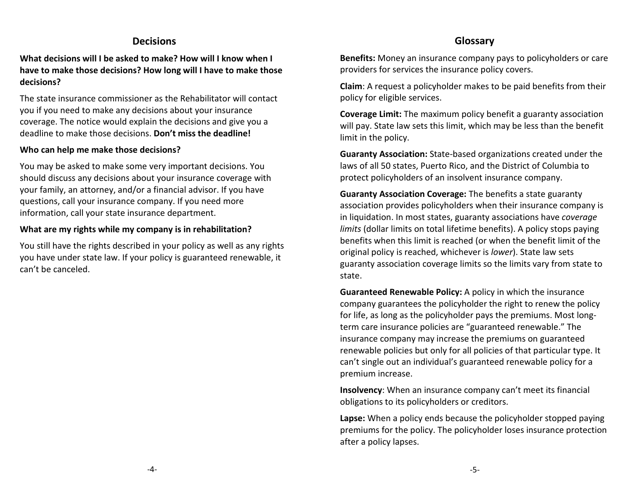## **Decisions**

**What decisions will I be asked to make? How will I know when I have to make those decisions? How long will I have to make those decisions?**

The state insurance commissioner as the Rehabilitator will contact you if you need to make any decisions about your insurance coverage. The notice would explain the decisions and give you a deadline to make those decisions. **Don't miss the deadline!**

#### **Who can help me make those decisions?**

You may be asked to make some very important decisions. You should discuss any decisions about your insurance coverage with your family, an attorney, and/or a financial advisor. If you have questions, call your insurance company. If you need more information, call your state insurance department.

#### **What are my rights while my company is in rehabilitation?**

You still have the rights described in your policy as well as any rights you have under state law. If your policy is guaranteed renewable, it can't be canceled.

# **Glossary**

**Benefits:** Money an insurance company pays to policyholders or care providers for services the insurance policy covers.

**Claim**: A request a policyholder makes to be paid benefits from their policy for eligible services.

**Coverage Limit:** The maximum policy benefit a guaranty association will pay. State law sets this limit, which may be less than the benefit limit in the policy.

**Guaranty Association:** State-based organizations created under the laws of all 50 states, Puerto Rico, and the District of Columbia to protect policyholders of an insolvent insurance company.

**Guaranty Association Coverage:** The benefits a state guaranty association provides policyholders when their insurance company is in liquidation. In most states, guaranty associations have *coverage limits* (dollar limits on total lifetime benefits). A policy stops paying benefits when this limit is reached (or when the benefit limit of the original policy is reached, whichever is *lower*). State law sets guaranty association coverage limits so the limits vary from state to state.

**Guaranteed Renewable Policy:** A policy in which the insurance company guarantees the policyholder the right to renew the policy for life, as long as the policyholder pays the premiums. Most longterm care insurance policies are "guaranteed renewable." The insurance company may increase the premiums on guaranteed renewable policies but only for all policies of that particular type. It can't single out an individual's guaranteed renewable policy for a premium increase.

**Insolvency**: When an insurance company can't meet its financial obligations to its policyholders or creditors.

**Lapse:** When a policy ends because the policyholder stopped paying premiums for the policy. The policyholder loses insurance protection after a policy lapses.